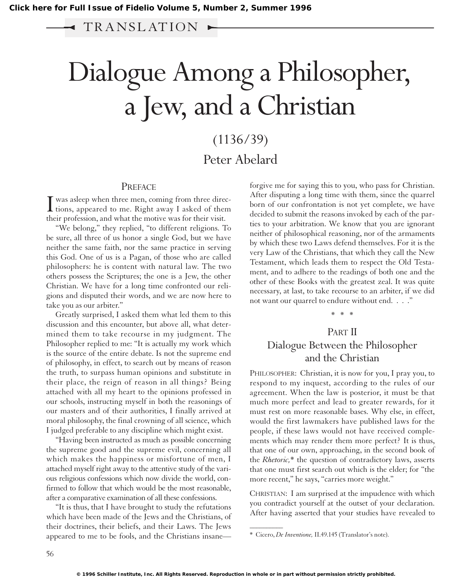## $\blacktriangleleft$  TRANSLATION  $\blacktriangleright$

# Dialogue Among a Philosopher, aJew, and a Christian

## (1136/39) Peter Abelard

#### PREFACE

I was asleep when three men, coming from three direc-<br>tions, appeared to me. Right away I asked of them  $\perp$  tions, appeared to me. Right away I asked of them their profession, and what the motive was for their visit.

"We belong," they replied, "to different religions. To be sure, all three of us honor a single God, but we have neither the same faith, nor the same practice in serving this God. One of us is a Pagan, of those who are called philosophers: he is content with natural law. The two others possess the Scriptures; the one is a Jew, the other Christian. We have for a long time confronted our religions and disputed their words, and we are now here to take you as our arbiter."

Greatly surprised, I asked them what led them to this discussion and this encounter, but above all, what determined them to take recourse in my judgment. The Philosopher replied to me: "It is actually my work which is the source of the entire debate. Is not the supreme end of philosophy, in effect, to search out by means of reason the truth, to surpass human opinions and substitute in their place, the reign of reason in all things? Being attached with all my heart to the opinions professed in our schools, instructing myself in both the reasonings of our masters and of their authorities, I finally arrived at moral philosophy, the final crowning of all science, which I judged preferable to any discipline which might exist.

"Having been instructed as much as possible concerning the supreme good and the supreme evil, concerning all which makes the happiness or misfortune of men, I attached myself right away to the attentive study of the various religious confessions which now divide the world, confirmed to follow that which would be the most reasonable, after a comparative examination of all these confessions.

"It is thus, that I have brought to study the refutations which have been made of the Jews and the Christians, of their doctrines, their beliefs, and their Laws. The Jews appeared to me to be fools, and the Christians insane—

forgive me for saying this to you, who pass for Christian. After disputing a long time with them, since the quarrel born of our confrontation is not yet complete, we have decided to submit the reasons invoked by each of the parties to your arbitration. We know that you are ignorant neither of philosophical reasoning, nor of the armaments by which these two Laws defend themselves. For it is the very Law of the Christians, that which they call the New Testament, which leads them to respect the Old Testament, and to adhere to the readings of both one and the other of these Books with the greatest zeal. It was quite necessary, at last, to take recourse to an arbiter, if we did not want our quarrel to endure without end. . . ."

#### \*\*\*

### PART II Dialogue Between the Philosopher and the Christian

PHILOSOPHER: Christian, it is now for you, I pray you, to respond to my inquest, according to the rules of our agreement. When the law is posterior, it must be that much more perfect and lead to greater rewards, for it must rest on more reasonable bases. Why else, in effect, would the first lawmakers have published laws for the people, if these laws would not have received complements which may render them more perfect? It is thus, that one of our own, approaching, in the second book of the *Rhetoric,*\* the question of contradictory laws, asserts that one must first search out which is the elder; for "the more recent," he says, "carries more weight."

CHRISTIAN: I am surprised at the impudence with which you contradict yourself at the outset of your declaration. After having asserted that your studies have revealed to

 $\overline{\phantom{a}}$ 

<sup>\*</sup> Cicero, *De Inventione,* II.49.145 (Translator's note).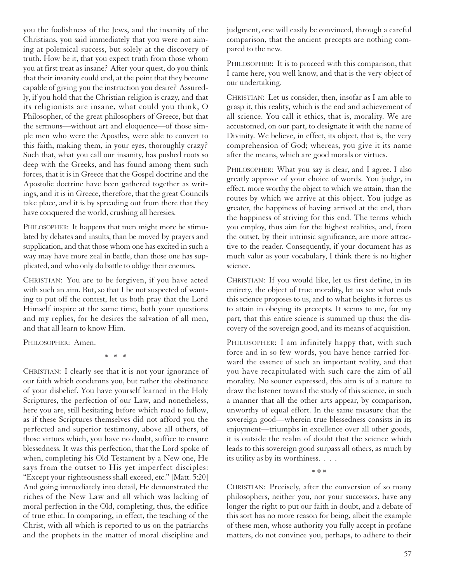you the foolishness of the Jews, and the insanity of the Christians, you said immediately that you were not aiming at polemical success, but solely at the discovery of truth. How be it, that you expect truth from those whom you at first treat as insane? After your quest, do you think that their insanity could end, at the point that they become capable of giving you the instruction you desire? Assuredly, if you hold that the Christian religion is crazy, and that its religionists are insane, what could you think, O Philosopher, of the great philosophers of Greece, but that the sermons—without art and eloquence—of those simple men who were the Apostles, were able to convert to this faith, making them, in your eyes, thoroughly crazy? Such that, what you call our insanity, has pushed roots so deep with the Greeks, and has found among them such forces, that it is in Greece that the Gospel doctrine and the Apostolic doctrine have been gathered together as writings, and it is in Greece, therefore, that the great Councils take place, and it is by spreading out from there that they have conquered the world, crushing all heresies.

PHILOSOPHER: It happens that men might more be stimulated by debates and insults, than be moved by prayers and supplication, and that those whom one has excited in such a way may have more zeal in battle, than those one has supplicated, and who only do battle to oblige their enemies.

CHRISTIAN: You are to be forgiven, if you have acted with such an aim. But, so that I be not suspected of wanting to put off the contest, let us both pray that the Lord Himself inspire at the same time, both your questions and my replies, for he desires the salvation of all men, and that all learn to know Him.

PHILOSOPHER: Amen.

\* \* \*

CHRISTIAN: I clearly see that it is not your ignorance of our faith which condemns you, but rather the obstinance of your disbelief. You have yourself learned in the Holy Scriptures, the perfection of our Law, and nonetheless, here you are, still hesitating before which road to follow, as if these Scriptures themselves did not afford you the perfected and superior testimony, above all others, of those virtues which, you have no doubt, suffice to ensure blessedness. It was this perfection, that the Lord spoke of when, completing his Old Testament by a New one, He says from the outset to His yet imperfect disciples: "Except your righteousness shall exceed, etc." [Matt. 5:20] And going immediately into detail, He demonstrated the riches of the New Law and all which was lacking of moral perfection in the Old, completing, thus, the edifice of true ethic. In comparing, in effect, the teaching of the Christ, with all which is reported to us on the patriarchs and the prophets in the matter of moral discipline and

judgment, one will easily be convinced, through a careful comparison, that the ancient precepts are nothing compared to the new.

PHILOSOPHER: It is to proceed with this comparison, that I came here, you well know, and that is the very object of our undertaking.

CHRISTIAN: Let us consider, then, insofar as I am able to grasp it, this reality, which is the end and achievement of all science. You call it ethics, that is, morality. We are accustomed, on our part, to designate it with the name of Divinity. We believe, in effect, its object, that is, the very comprehension of God; whereas, you give it its name after the means, which are good morals or virtues.

PHILOSOPHER: What you say is clear, and I agree. I also greatly approve of your choice of words. You judge, in effect, more worthy the object to which we attain, than the routes by which we arrive at this object. You judge as greater, the happiness of having arrived at the end, than the happiness of striving for this end. The terms which you employ, thus aim for the highest realities, and, from the outset, by their intrinsic significance, are more attractive to the reader. Consequently, if your document has as much valor as your vocabulary, I think there is no higher science.

CHRISTIAN: If you would like, let us first define, in its entirety, the object of true morality, let us see what ends this science proposes to us, and to what heights it forces us to attain in obeying its precepts. It seems to me, for my part, that this entire science is summed up thus: the discovery of the sovereign good, and its means of acquisition.

PHILOSOPHER: I am infinitely happy that, with such force and in so few words, you have hence carried forward the essence of such an important reality, and that you have recapitulated with such care the aim of all morality. No sooner expressed, this aim is of a nature to draw the listener toward the study of this science, in such a manner that all the other arts appear, by comparison, unworthy of equal effort. In the same measure that the sovereign good—wherein true blessedness consists in its enjoyment—triumphs in excellence over all other goods, it is outside the realm of doubt that the science which leads to this sovereign good surpass all others, as much by its utility as by its worthiness. . . .

\* \* \*

CHRISTIAN: Precisely, after the conversion of so many philosophers, neither you, nor your successors, have any longer the right to put our faith in doubt, and a debate of this sort has no more reason for being, albeit the example of these men, whose authority you fully accept in profane matters, do not convince you, perhaps, to adhere to their